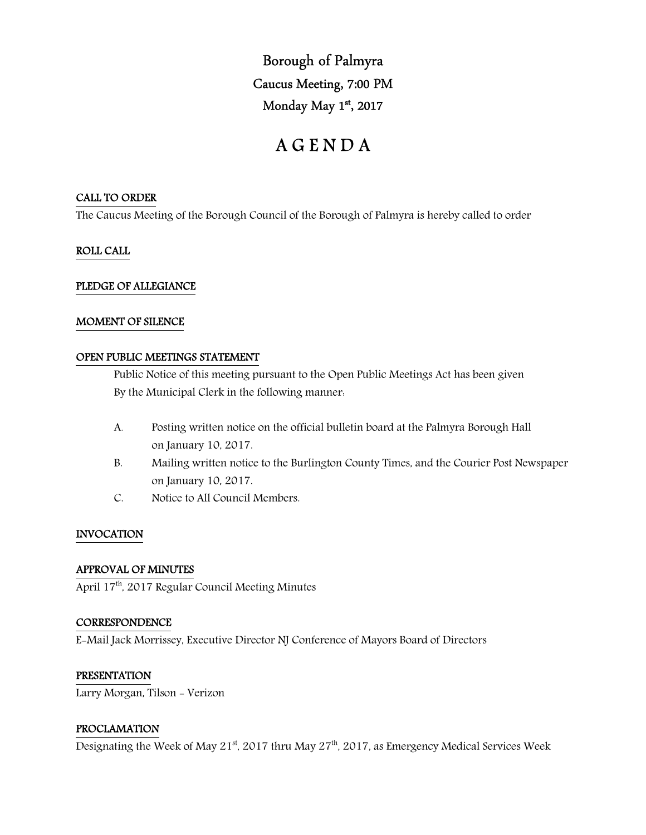Borough of Palmyra Caucus Meeting, 7:00 PM Monday May 1st, 2017

# A G E N D A

## CALL TO ORDER

The Caucus Meeting of the Borough Council of the Borough of Palmyra is hereby called to order

## ROLL CALL

## PLEDGE OF ALLEGIANCE

### MOMENT OF SILENCE

### OPEN PUBLIC MEETINGS STATEMENT

 Public Notice of this meeting pursuant to the Open Public Meetings Act has been given By the Municipal Clerk in the following manner:

- A. Posting written notice on the official bulletin board at the Palmyra Borough Hall on January 10, 2017.
- B. Mailing written notice to the Burlington County Times, and the Courier Post Newspaper on January 10, 2017.
- C. Notice to All Council Members.

### INVOCATION

### APPROVAL OF MINUTES

April 17<sup>th</sup>, 2017 Regular Council Meeting Minutes

### **CORRESPONDENCE**

E-Mail Jack Morrissey, Executive Director NJ Conference of Mayors Board of Directors

### PRESENTATION

Larry Morgan, Tilson - Verizon

### PROCLAMATION

Designating the Week of May 21<sup>st</sup>, 2017 thru May 27<sup>th</sup>, 2017, as Emergency Medical Services Week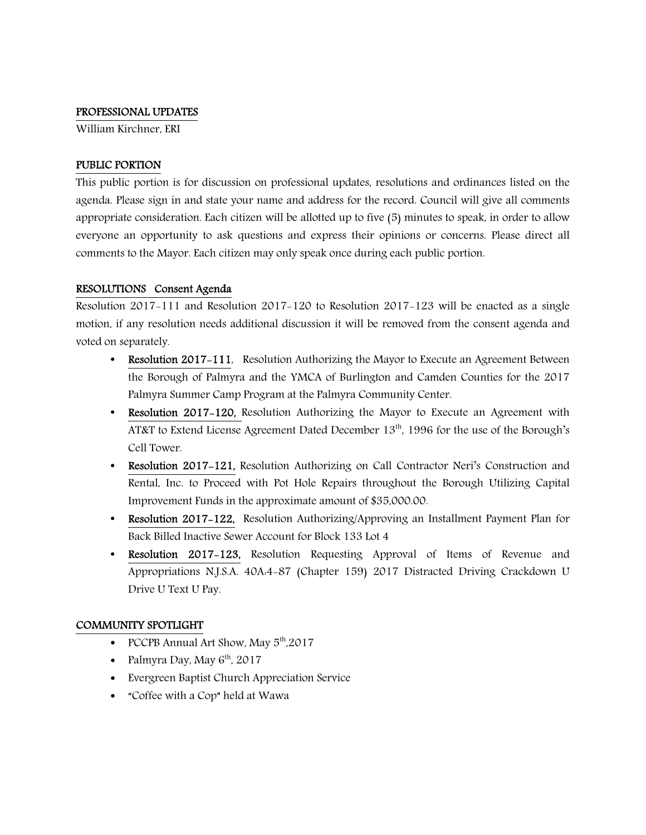#### PROFESSIONAL UPDATES

William Kirchner, ERI

### PUBLIC PORTION

This public portion is for discussion on professional updates, resolutions and ordinances listed on the agenda. Please sign in and state your name and address for the record. Council will give all comments appropriate consideration. Each citizen will be allotted up to five (5) minutes to speak, in order to allow everyone an opportunity to ask questions and express their opinions or concerns. Please direct all comments to the Mayor. Each citizen may only speak once during each public portion.

### RESOLUTIONS Consent Agenda

Resolution 2017-111 and Resolution 2017-120 to Resolution 2017-123 will be enacted as a single motion, if any resolution needs additional discussion it will be removed from the consent agenda and voted on separately.

- Resolution 2017-111, Resolution Authorizing the Mayor to Execute an Agreement Between the Borough of Palmyra and the YMCA of Burlington and Camden Counties for the 2017 Palmyra Summer Camp Program at the Palmyra Community Center.
- Resolution 2017-120, Resolution Authorizing the Mayor to Execute an Agreement with AT&T to Extend License Agreement Dated December 13th, 1996 for the use of the Borough's Cell Tower.
- Resolution 2017-121, Resolution Authorizing on Call Contractor Neri's Construction and Rental, Inc. to Proceed with Pot Hole Repairs throughout the Borough Utilizing Capital Improvement Funds in the approximate amount of \$35,000.00.
- Resolution 2017–122, Resolution Authorizing/Approving an Installment Payment Plan for Back Billed Inactive Sewer Account for Block 133 Lot 4
- Resolution 2017-123, Resolution Requesting Approval of Items of Revenue and Appropriations N.J.S.A. 40A:4-87 (Chapter 159) 2017 Distracted Driving Crackdown U Drive U Text U Pay.

### COMMUNITY SPOTLIGHT

- PCCPB Annual Art Show, May  $5<sup>th</sup>$ ,2017
- Palmyra Day, May  $6<sup>th</sup>$ , 2017
- Evergreen Baptist Church Appreciation Service
- "Coffee with a Cop" held at Wawa